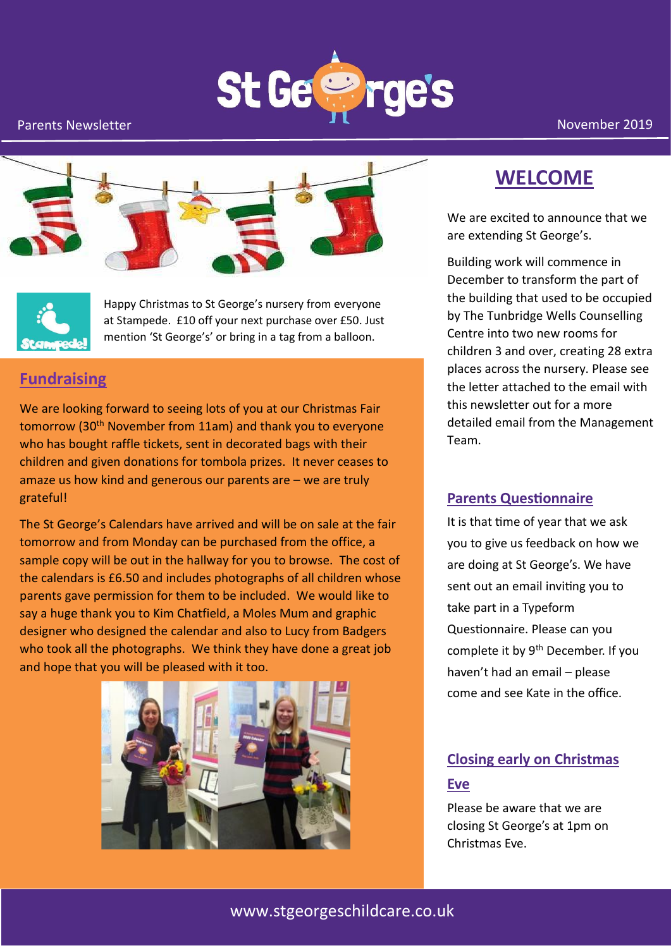





Happy Christmas to St George's nursery from everyone at Stampede. £10 off your next purchase over £50. Just mention 'St George's' or bring in a tag from a balloon.

#### **Fundraising**

We are looking forward to seeing lots of you at our Christmas Fair tomorrow (30<sup>th</sup> November from 11am) and thank you to everyone who has bought raffle tickets, sent in decorated bags with their children and given donations for tombola prizes. It never ceases to amaze us how kind and generous our parents are – we are truly grateful!

The St George's Calendars have arrived and will be on sale at the fair tomorrow and from Monday can be purchased from the office, a sample copy will be out in the hallway for you to browse. The cost of the calendars is £6.50 and includes photographs of all children whose parents gave permission for them to be included. We would like to say a huge thank you to Kim Chatfield, a Moles Mum and graphic designer who designed the calendar and also to Lucy from Badgers who took all the photographs. We think they have done a great job and hope that you will be pleased with it too.



# **WELCOME**

We are excited to announce that we are extending St George's.

Building work will commence in December to transform the part of the building that used to be occupied by The Tunbridge Wells Counselling Centre into two new rooms for children 3 and over, creating 28 extra places across the nursery. Please see the letter attached to the email with this newsletter out for a more detailed email from the Management Team.

#### **Parents Questionnaire**

It is that time of year that we ask you to give us feedback on how we are doing at St George's. We have sent out an email inviting you to take part in a Typeform Questionnaire. Please can you complete it by 9<sup>th</sup> December. If you haven't had an email – please come and see Kate in the office.

## **Closing early on Christmas Eve**

Please be aware that we are closing St George's at 1pm on Christmas Eve.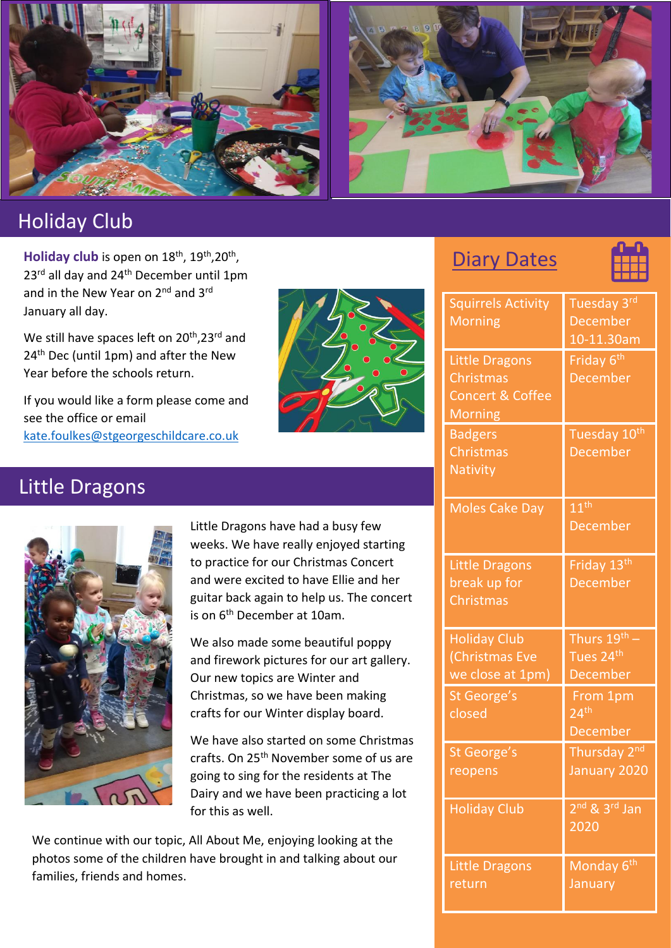

# Holiday Club

Holiday club is open on 18<sup>th</sup>, 19<sup>th</sup>, 20<sup>th</sup>, 23<sup>rd</sup> all day and 24<sup>th</sup> December until 1pm and in the New Year on 2<sup>nd</sup> and 3<sup>rd</sup> January all day.

We still have spaces left on 20<sup>th</sup>, 23<sup>rd</sup> and 24<sup>th</sup> Dec (until 1pm) and after the New Year before the schools return.

If you would like a form please come and see the office or email [kate.foulkes@stgeorgeschildcare.co.uk](mailto:kate.foulkes@stgeorgeschildcare.co.uk)



**Diary Dates** 



| <b>Squirrels Activity</b><br><b>Morning</b>                                         | Tuesday 3rd<br><b>December</b><br>10-11.30am      |
|-------------------------------------------------------------------------------------|---------------------------------------------------|
| <b>Little Dragons</b><br>Christmas<br><b>Concert &amp; Coffee</b><br><b>Morning</b> | Friday 6 <sup>th</sup><br><b>December</b>         |
| <b>Badgers</b><br>Christmas<br><b>Nativity</b>                                      | Tuesday 10th<br><b>December</b>                   |
| <b>Moles Cake Day</b>                                                               | 11 <sup>th</sup><br><b>December</b>               |
| <b>Little Dragons</b><br>break up for<br>Christmas                                  | Friday 13 <sup>th</sup><br><b>December</b>        |
| <b>Holiday Club</b><br>(Christmas Eve<br>we close at 1pm)                           | Thurs 19th -<br>Tues 24 <sup>th</sup><br>December |
| St George's<br>closed                                                               | From 1pm<br>24 <sup>th</sup><br>December          |
| St George's<br>reopens                                                              | Thursday 2 <sup>nd</sup><br>January 2020          |
| <b>Holiday Club</b>                                                                 | 2 <sup>nd</sup> & 3 <sup>rd</sup> Jan<br>2020     |
| Little Dragons<br>return                                                            | Monday 6 <sup>th</sup><br>January                 |

# Little Dragons



Little Dragons have had a busy few weeks. We have really enjoyed starting to practice for our Christmas Concert and were excited to have Ellie and her guitar back again to help us. The concert is on 6<sup>th</sup> December at 10am.

We also made some beautiful poppy and firework pictures for our art gallery. Our new topics are Winter and Christmas, so we have been making crafts for our Winter display board.

We have also started on some Christmas crafts. On 25th November some of us are going to sing for the residents at The Dairy and we have been practicing a lot for this as well.

We continue with our topic, All About Me, enjoying looking at the photos some of the children have brought in and talking about our families, friends and homes.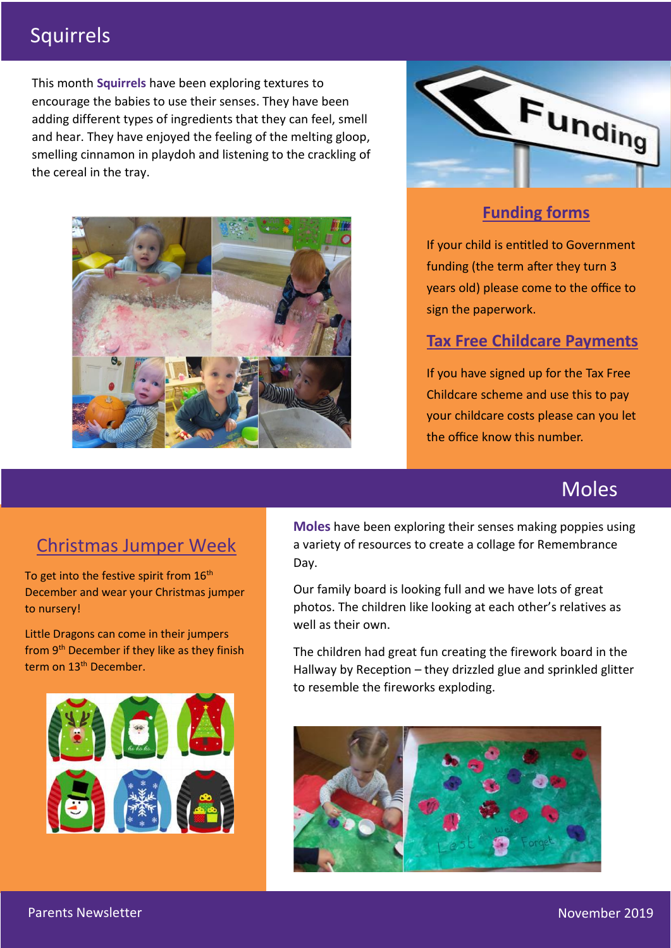# Squirrels

This month **Squirrels** have been exploring textures to encourage the babies to use their senses. They have been adding different types of ingredients that they can feel, smell and hear. They have enjoyed the feeling of the melting gloop, smelling cinnamon in playdoh and listening to the crackling of the cereal in the tray.





### **Funding forms**

If your child is entitled to Government funding (the term after they turn 3 years old) please come to the office to sign the paperwork.

#### **Tax Free Childcare Payments**

If you have signed up for the Tax Free Childcare scheme and use this to pay your childcare costs please can you let the office know this number.

# Moles

# Christmas Jumper Week

To get into the festive spirit from  $16<sup>th</sup>$ December and wear your Christmas jumper to nursery!

Little Dragons can come in their jumpers from 9<sup>th</sup> December if they like as they finish term on 13<sup>th</sup> December.



**Moles** have been exploring their senses making poppies using a variety of resources to create a collage for Remembrance Day.

Our family board is looking full and we have lots of great photos. The children like looking at each other's relatives as well as their own.

The children had great fun creating the firework board in the Hallway by Reception – they drizzled glue and sprinkled glitter to resemble the fireworks exploding.